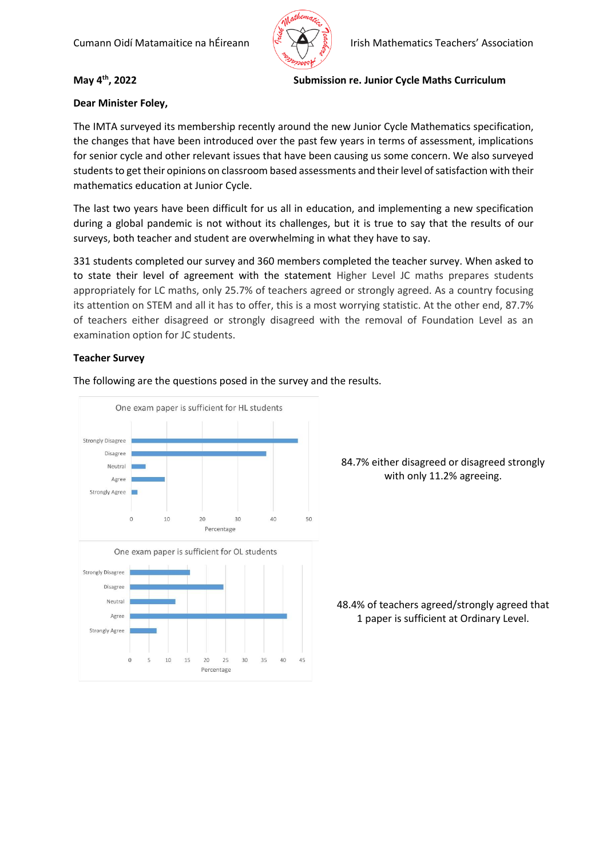

### **May 4th, 2022 Submission re. Junior Cycle Maths Curriculum**

# **Dear Minister Foley,**

The IMTA surveyed its membership recently around the new Junior Cycle Mathematics specification, the changes that have been introduced over the past few years in terms of assessment, implications for senior cycle and other relevant issues that have been causing us some concern. We also surveyed students to get their opinions on classroom based assessments and their level of satisfaction with their mathematics education at Junior Cycle.

The last two years have been difficult for us all in education, and implementing a new specification during a global pandemic is not without its challenges, but it is true to say that the results of our surveys, both teacher and student are overwhelming in what they have to say.

331 students completed our survey and 360 members completed the teacher survey. When asked to to state their level of agreement with the statement Higher Level JC maths prepares students appropriately for LC maths, only 25.7% of teachers agreed or strongly agreed. As a country focusing its attention on STEM and all it has to offer, this is a most worrying statistic. At the other end, 87.7% of teachers either disagreed or strongly disagreed with the removal of Foundation Level as an examination option for JC students.

### **Teacher Survey**

The following are the questions posed in the survey and the results.



84.7% either disagreed or disagreed strongly with only 11.2% agreeing.

48.4% of teachers agreed/strongly agreed that 1 paper is sufficient at Ordinary Level.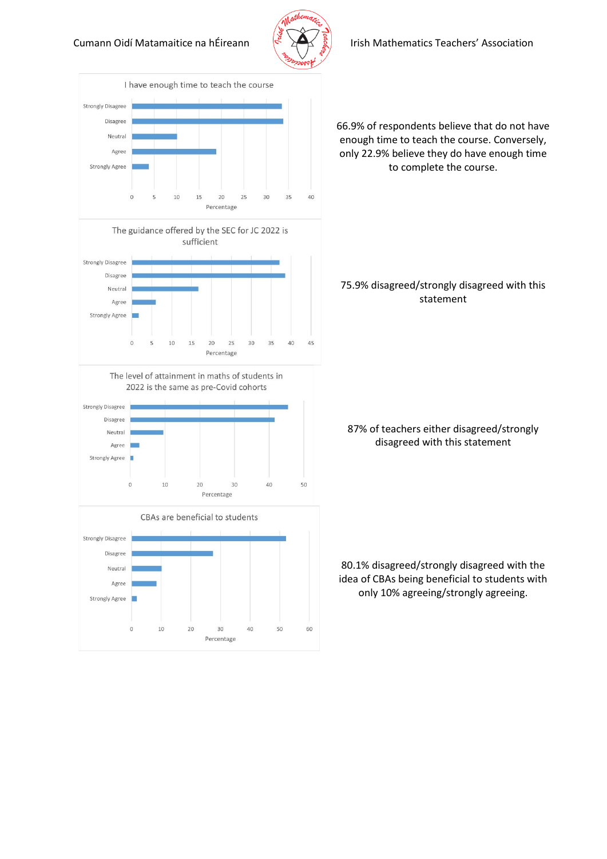

#### Cumann Oidí Matamaitice na hÉireann  $\leq \sum_{k=1}^{\infty}$  Irish Mathematics Teachers' Association



66.9% of respondents believe that do not have enough time to teach the course. Conversely, only 22.9% believe they do have enough time to complete the course.

### 75.9% disagreed/strongly disagreed with this statement

### 87% of teachers either disagreed/strongly disagreed with this statement

80.1% disagreed/strongly disagreed with the idea of CBAs being beneficial to students with only 10% agreeing/strongly agreeing.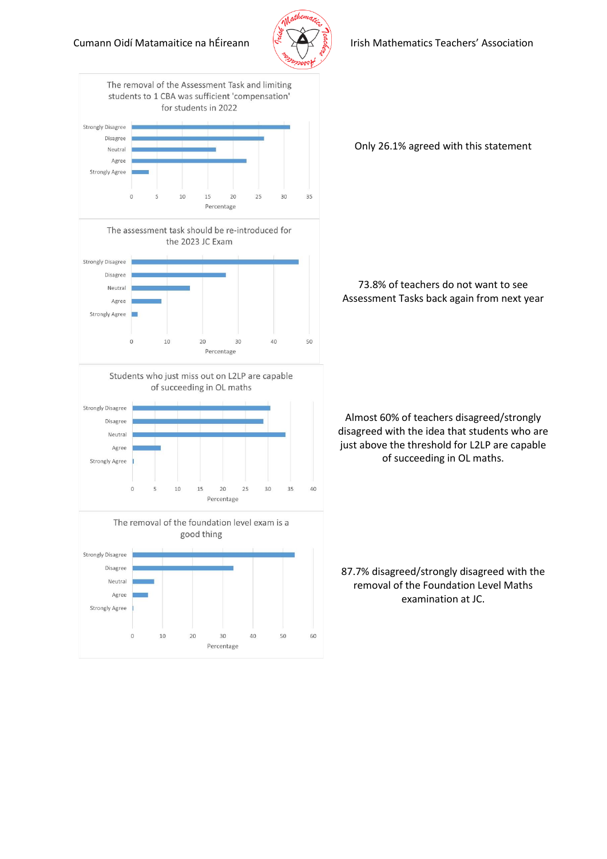



Only 26.1% agreed with this statement

73.8% of teachers do not want to see Assessment Tasks back again from next year

Almost 60% of teachers disagreed/strongly disagreed with the idea that students who are just above the threshold for L2LP are capable of succeeding in OL maths.

87.7% disagreed/strongly disagreed with the removal of the Foundation Level Maths examination at JC.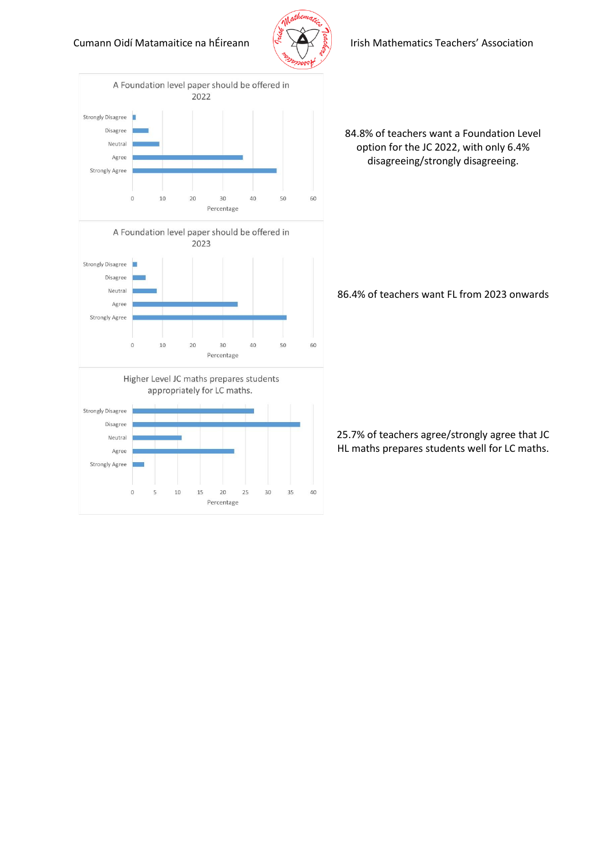

#### Cumann Oidí Matamaitice na hÉireann  $\left(\frac{1}{2} \sum_{i=1}^{3} a_i\right)$  Irish Mathematics Teachers' Association



84.8% of teachers want a Foundation Level option for the JC 2022, with only 6.4% disagreeing/strongly disagreeing.

86.4% of teachers want FL from 2023 onwards

25.7% of teachers agree/strongly agree that JC HL maths prepares students well for LC maths.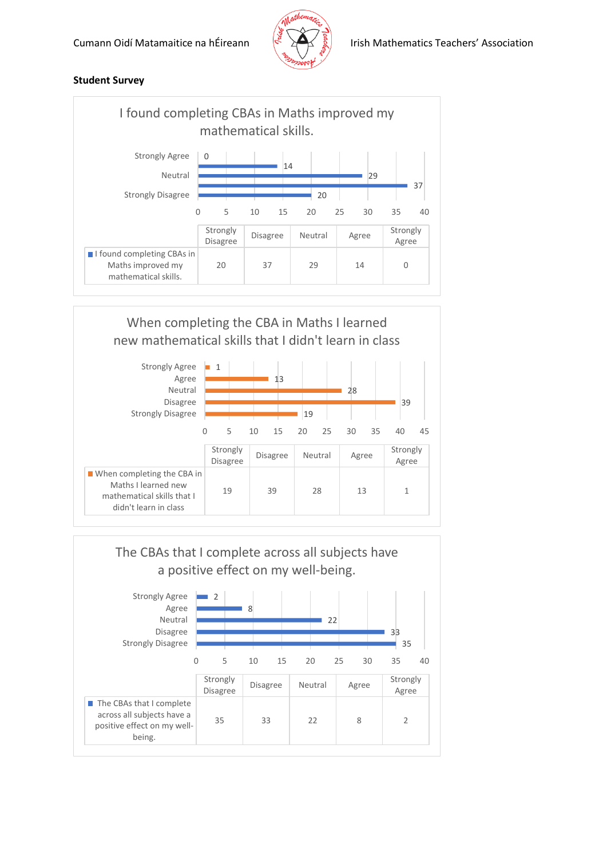

## **Student Survey**





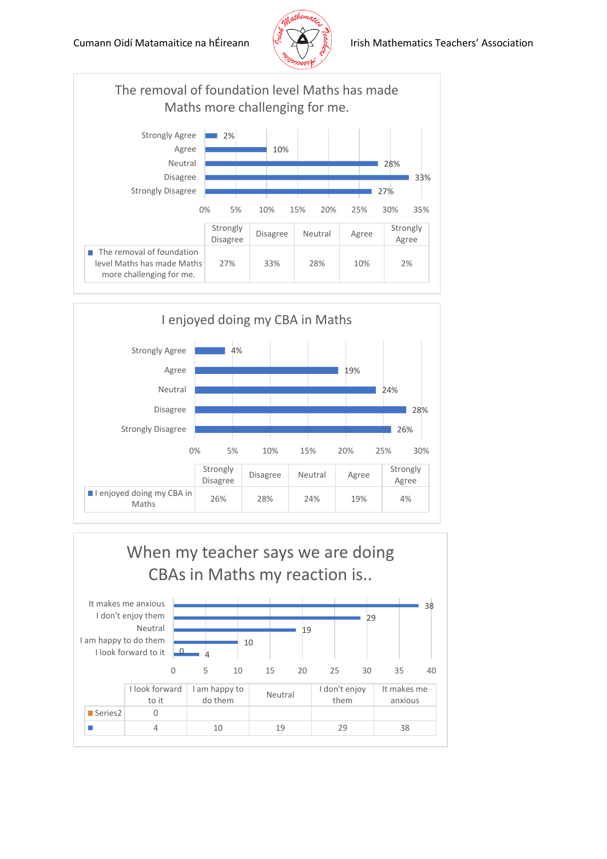